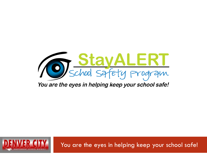

You are the eyes in helping keep your school safe!



You are the eyes in helping keep your school safe!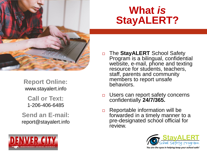

**Report Online:**  www.stayalert.info

**Call or Text:**  1-206-406-6485

**Send an E-mail:**  report@stayalert.info



### **What** *is* **StayALERT?**

- □ The **StayALERT** School Safety Program is a bilingual, confidential website, e-mail, phone and texting resource for students, teachers, staff, parents and community members to report unsafe behaviors.
- □ Users can report safety concerns confidentially **24/7/365.**
- $\Box$  Reportable information will be forwarded in a timely manner to a pre-designated school official for review.

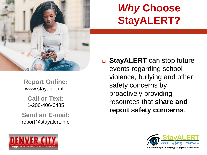

### *Why* **Choose StayALERT?**

**Report Online:**  www.stayalert.info **Call or Text:**  1-206-406-6485

**Send an E-mail:**  report@stayalert.info





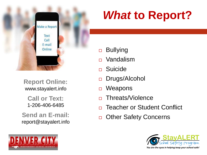

**Report Online:**  www.stayalert.info

**Call or Text:**  1-206-406-6485

**Send an E-mail:**  report@stayalert.info



## *What* **to Report?**

- □ Bullying
- Vandalism
- Suicide
- Drugs/Alcohol
- □ Weapons
- □ Threats/Violence
- □ Teacher or Student Conflict
- □ Other Safety Concerns

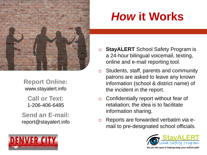

**Report Online:**  www.stayalert.info

**Call or Text:**  1-206-406-6485

**Send an E-mail:**  report@stayalert.info



- **□ StayALERT** School Safety Program is a 24-hour bilingual voicemail, texting, online and e-mail reporting tool.
- Students, staff, parents and community patrons are asked to leave any known information (school & district name) of the incident in the report.
- $\Box$  Confidentially report without fear of retaliation; the idea is to facilitate information sharing.
- $\Box$  Reports are forwarded verbatim via email to pre-designated school officials.